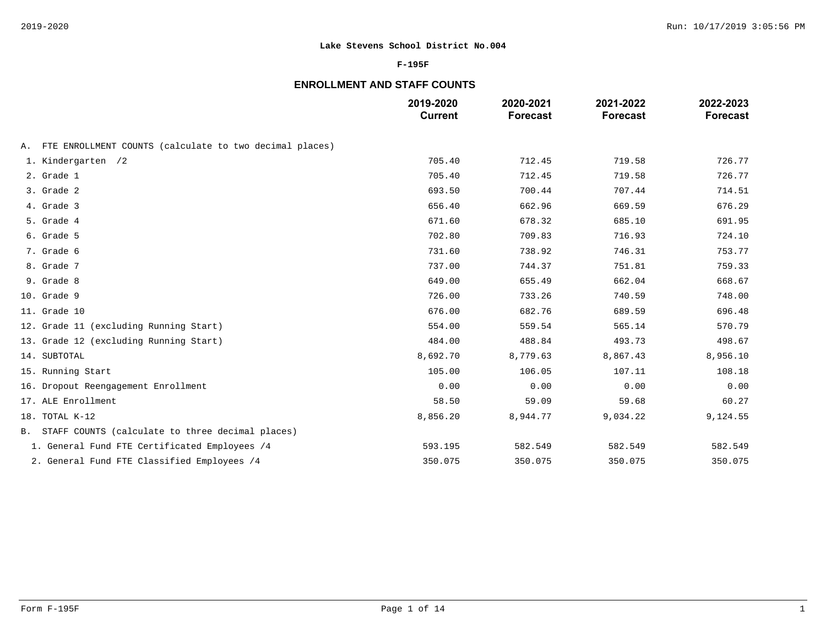### **F-195F**

# **ENROLLMENT AND STAFF COUNTS**

|                                                            | 2019-2020<br><b>Current</b> | 2020-2021<br><b>Forecast</b> | 2021-2022<br><b>Forecast</b> | 2022-2023<br><b>Forecast</b> |
|------------------------------------------------------------|-----------------------------|------------------------------|------------------------------|------------------------------|
| A. FTE ENROLLMENT COUNTS (calculate to two decimal places) |                             |                              |                              |                              |
| 1. Kindergarten /2                                         | 705.40                      | 712.45                       | 719.58                       | 726.77                       |
| 2. Grade 1                                                 | 705.40                      | 712.45                       | 719.58                       | 726.77                       |
| 3. Grade 2                                                 | 693.50                      | 700.44                       | 707.44                       | 714.51                       |
| 4. Grade 3                                                 | 656.40                      | 662.96                       | 669.59                       | 676.29                       |
| 5. Grade 4                                                 | 671.60                      | 678.32                       | 685.10                       | 691.95                       |
| 6. Grade 5                                                 | 702.80                      | 709.83                       | 716.93                       | 724.10                       |
| 7. Grade 6                                                 | 731.60                      | 738.92                       | 746.31                       | 753.77                       |
| 8. Grade 7                                                 | 737.00                      | 744.37                       | 751.81                       | 759.33                       |
| 9. Grade 8                                                 | 649.00                      | 655.49                       | 662.04                       | 668.67                       |
| 10. Grade 9                                                | 726.00                      | 733.26                       | 740.59                       | 748.00                       |
| 11. Grade 10                                               | 676.00                      | 682.76                       | 689.59                       | 696.48                       |
| 12. Grade 11 (excluding Running Start)                     | 554.00                      | 559.54                       | 565.14                       | 570.79                       |
| 13. Grade 12 (excluding Running Start)                     | 484.00                      | 488.84                       | 493.73                       | 498.67                       |
| 14. SUBTOTAL                                               | 8,692.70                    | 8,779.63                     | 8,867.43                     | 8,956.10                     |
| 15. Running Start                                          | 105.00                      | 106.05                       | 107.11                       | 108.18                       |
| 16. Dropout Reengagement Enrollment                        | 0.00                        | 0.00                         | 0.00                         | 0.00                         |
| 17. ALE Enrollment                                         | 58.50                       | 59.09                        | 59.68                        | 60.27                        |
| 18. TOTAL K-12                                             | 8,856.20                    | 8,944.77                     | 9,034.22                     | 9,124.55                     |
| B. STAFF COUNTS (calculate to three decimal places)        |                             |                              |                              |                              |
| 1. General Fund FTE Certificated Employees /4              | 593.195                     | 582.549                      | 582.549                      | 582.549                      |
| 2. General Fund FTE Classified Employees /4                | 350.075                     | 350.075                      | 350.075                      | 350.075                      |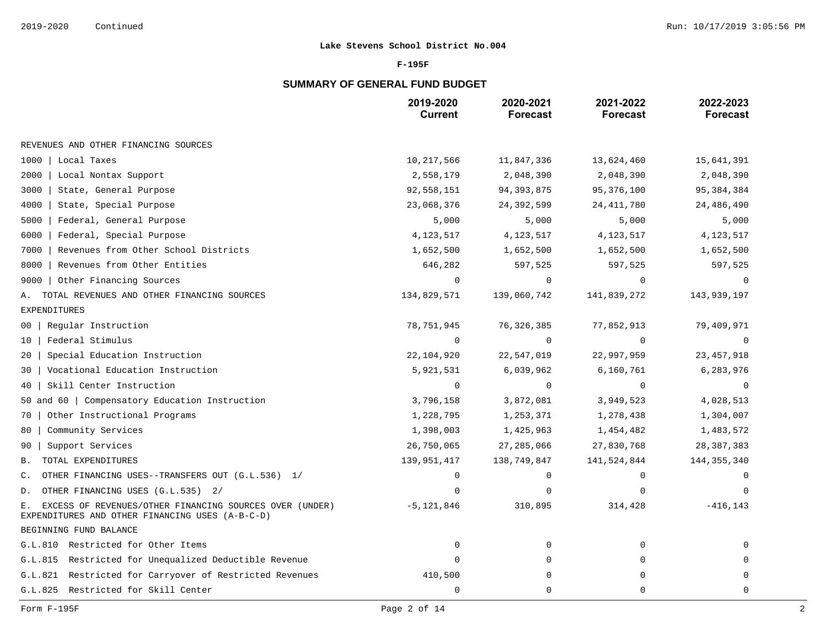### **F-195F**

# **SUMMARY OF GENERAL FUND BUDGET**

|                                                                                                                  | 2019-2020<br><b>Current</b> | 2020-2021<br><b>Forecast</b> | 2021-2022<br><b>Forecast</b> | 2022-2023<br><b>Forecast</b> |
|------------------------------------------------------------------------------------------------------------------|-----------------------------|------------------------------|------------------------------|------------------------------|
| REVENUES AND OTHER FINANCING SOURCES                                                                             |                             |                              |                              |                              |
| 1000<br>Local Taxes                                                                                              | 10,217,566                  | 11,847,336                   | 13,624,460                   | 15,641,391                   |
| 2000<br>Local Nontax Support                                                                                     | 2,558,179                   | 2,048,390                    | 2,048,390                    | 2,048,390                    |
| 3000<br>State, General Purpose                                                                                   | 92,558,151                  | 94, 393, 875                 | 95,376,100                   | 95, 384, 384                 |
| 4000<br>State, Special Purpose                                                                                   | 23,068,376                  | 24,392,599                   | 24, 411, 780                 | 24,486,490                   |
| Federal, General Purpose<br>5000                                                                                 | 5,000                       | 5,000                        | 5,000                        | 5,000                        |
| 6000<br>Federal, Special Purpose                                                                                 | 4,123,517                   | 4,123,517                    | 4,123,517                    | 4,123,517                    |
| Revenues from Other School Districts<br>7000                                                                     | 1,652,500                   | 1,652,500                    | 1,652,500                    | 1,652,500                    |
| Revenues from Other Entities<br>8000                                                                             | 646,282                     | 597,525                      | 597,525                      | 597,525                      |
| Other Financing Sources<br>9000                                                                                  | $\Omega$                    | $\Omega$                     | $\Omega$                     |                              |
| TOTAL REVENUES AND OTHER FINANCING SOURCES<br>А.                                                                 | 134,829,571                 | 139,060,742                  | 141,839,272                  | 143,939,197                  |
| <b>EXPENDITURES</b>                                                                                              |                             |                              |                              |                              |
| Regular Instruction<br>00                                                                                        | 78,751,945                  | 76, 326, 385                 | 77,852,913                   | 79,409,971                   |
| Federal Stimulus<br>10                                                                                           | $\mathbf 0$                 | 0                            | $\mathbf 0$                  | $\Omega$                     |
| Special Education Instruction<br>20                                                                              | 22,104,920                  | 22,547,019                   | 22,997,959                   | 23, 457, 918                 |
| Vocational Education Instruction<br>30                                                                           | 5,921,531                   | 6,039,962                    | 6,160,761                    | 6,283,976                    |
| Skill Center Instruction<br>40                                                                                   | $\mathbf 0$                 | 0                            | $\overline{0}$               | 0                            |
| 50 and 60   Compensatory Education Instruction                                                                   | 3,796,158                   | 3,872,081                    | 3,949,523                    | 4,028,513                    |
| Other Instructional Programs<br>70                                                                               | 1,228,795                   | 1,253,371                    | 1,278,438                    | 1,304,007                    |
| Community Services<br>80                                                                                         | 1,398,003                   | 1,425,963                    | 1,454,482                    | 1,483,572                    |
| Support Services<br>90                                                                                           | 26,750,065                  | 27, 285, 066                 | 27,830,768                   | 28, 387, 383                 |
| TOTAL EXPENDITURES<br>В.                                                                                         | 139,951,417                 | 138,749,847                  | 141,524,844                  | 144, 355, 340                |
| OTHER FINANCING USES--TRANSFERS OUT (G.L.536) 1/<br>$\mathsf{C}$ .                                               | $\mathbf 0$                 | 0                            | $\mathbf 0$                  | $\Omega$                     |
| OTHER FINANCING USES (G.L.535) 2/<br>D.                                                                          | $\Omega$                    | 0                            | $\mathbf 0$                  | 0                            |
| EXCESS OF REVENUES/OTHER FINANCING SOURCES OVER (UNDER)<br>Е.<br>EXPENDITURES AND OTHER FINANCING USES (A-B-C-D) | $-5,121,846$                | 310,895                      | 314,428                      | $-416, 143$                  |
| BEGINNING FUND BALANCE                                                                                           |                             |                              |                              |                              |
| G.L.810 Restricted for Other Items                                                                               | $\mathbf 0$                 | 0                            | $\mathbf 0$                  |                              |
| Restricted for Unequalized Deductible Revenue<br>G.L.815                                                         | $\Omega$                    | 0                            | 0                            |                              |
| G.L.821<br>Restricted for Carryover of Restricted Revenues                                                       | 410,500                     | 0                            | $\Omega$                     | $\Omega$                     |
| G.L.825<br>Restricted for Skill Center                                                                           | $\mathbf 0$                 | 0                            | $\mathbf 0$                  | 0                            |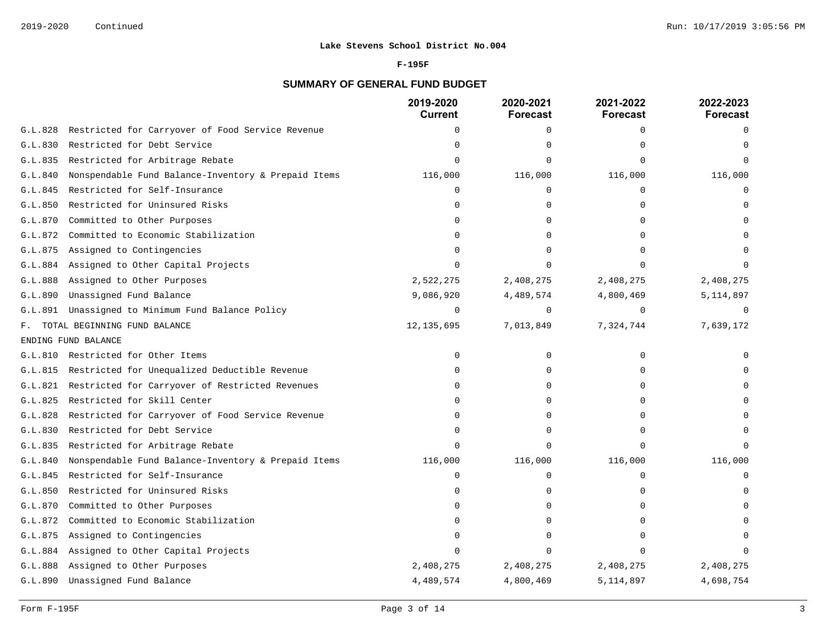#### **F-195F**

# **SUMMARY OF GENERAL FUND BUDGET**

|         |                                                     | 2019-2020<br><b>Current</b> | 2020-2021<br><b>Forecast</b> | 2021-2022<br><b>Forecast</b> | 2022-2023<br><b>Forecast</b> |
|---------|-----------------------------------------------------|-----------------------------|------------------------------|------------------------------|------------------------------|
| G.L.828 | Restricted for Carryover of Food Service Revenue    | $\Omega$                    | 0                            | $\Omega$                     | $\Omega$                     |
| G.L.830 | Restricted for Debt Service                         | $\Omega$                    | $\Omega$                     | $\cap$                       |                              |
| G.L.835 | Restricted for Arbitrage Rebate                     | $\Omega$                    | $\Omega$                     | $\Omega$                     |                              |
| G.L.840 | Nonspendable Fund Balance-Inventory & Prepaid Items | 116,000                     | 116,000                      | 116,000                      | 116,000                      |
| G.L.845 | Restricted for Self-Insurance                       | $\Omega$                    | 0                            | $\Omega$                     | $\Omega$                     |
| G.L.850 | Restricted for Uninsured Risks                      | O                           | 0                            | ∩                            |                              |
| G.L.870 | Committed to Other Purposes                         |                             | $\Omega$                     |                              |                              |
| G.L.872 | Committed to Economic Stabilization                 |                             | $\Omega$                     |                              |                              |
| G.L.875 | Assigned to Contingencies                           |                             | $\Omega$                     |                              |                              |
| G.L.884 | Assigned to Other Capital Projects                  |                             |                              |                              |                              |
| G.L.888 | Assigned to Other Purposes                          | 2,522,275                   | 2,408,275                    | 2,408,275                    | 2,408,275                    |
| G.L.890 | Unassigned Fund Balance                             | 9,086,920                   | 4,489,574                    | 4,800,469                    | 5,114,897                    |
| G.L.891 | Unassigned to Minimum Fund Balance Policy           | $\mathbf 0$                 | $\mathbf 0$                  | $\Omega$                     | $\Omega$                     |
| F.      | TOTAL BEGINNING FUND BALANCE                        | 12, 135, 695                | 7,013,849                    | 7,324,744                    | 7,639,172                    |
|         | ENDING FUND BALANCE                                 |                             |                              |                              |                              |
|         | G.L.810 Restricted for Other Items                  | $\Omega$                    | $\Omega$                     | $\Omega$                     |                              |
| G.L.815 | Restricted for Unequalized Deductible Revenue       | $\Omega$                    | $\Omega$                     | ∩                            |                              |
| G.L.821 | Restricted for Carryover of Restricted Revenues     | 0                           | $\Omega$                     | ∩                            |                              |
| G.L.825 | Restricted for Skill Center                         | $\Omega$                    | $\Omega$                     | ∩                            |                              |
| G.L.828 | Restricted for Carryover of Food Service Revenue    | $\Omega$                    | $\Omega$                     |                              |                              |
| G.L.830 | Restricted for Debt Service                         |                             | $\Omega$                     |                              |                              |
| G.L.835 | Restricted for Arbitrage Rebate                     | $\Omega$                    | $\Omega$                     | $\cap$                       |                              |
| G.L.840 | Nonspendable Fund Balance-Inventory & Prepaid Items | 116,000                     | 116,000                      | 116,000                      | 116,000                      |
| G.L.845 | Restricted for Self-Insurance                       | $\mathbf 0$                 | 0                            | $\Omega$                     | $\cap$                       |
| G.L.850 | Restricted for Uninsured Risks                      | $\Omega$                    | $\Omega$                     | $\Omega$                     |                              |
| G.L.870 | Committed to Other Purposes                         | $\Omega$                    | $\Omega$                     | $\Omega$                     |                              |
| G.L.872 | Committed to Economic Stabilization                 | U                           | $\Omega$                     | $\Omega$                     |                              |
| G.L.875 | Assigned to Contingencies                           | $\Omega$                    | $\Omega$                     |                              |                              |
| G.L.884 | Assigned to Other Capital Projects                  | $\Omega$                    | $\Omega$                     | $\cap$                       |                              |
| G.L.888 | Assigned to Other Purposes                          | 2,408,275                   | 2,408,275                    | 2,408,275                    | 2,408,275                    |
| G.L.890 | Unassigned Fund Balance                             | 4,489,574                   | 4,800,469                    | 5, 114, 897                  | 4,698,754                    |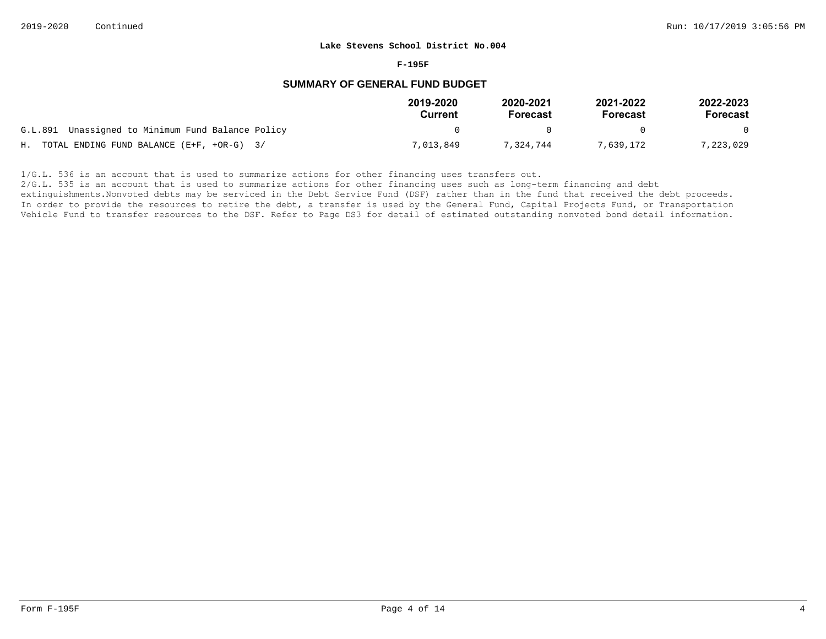#### **F-195F**

### **SUMMARY OF GENERAL FUND BUDGET**

|                                                   | 2019-2020<br>Current | 2020-2021<br><b>Forecast</b> | 2021-2022<br>Forecast | 2022-2023<br>Forecast |
|---------------------------------------------------|----------------------|------------------------------|-----------------------|-----------------------|
| G.L.891 Unassigned to Minimum Fund Balance Policy |                      |                              |                       | $\Omega$              |
| H. TOTAL ENDING FUND BALANCE $(E+F, +OR-G)$ 3/    | 7,013,849            | 7,324,744                    | 7,639,172             | 7,223,029             |

 $1/G.L.$  536 is an account that is used to summarize actions for other financing uses transfers out.

2/G.L. 535 is an account that is used to summarize actions for other financing uses such as long-term financing and debt

extinguishments. Nonvoted debts may be serviced in the Debt Service Fund (DSF) rather than in the fund that received the debt proceeds. In order to provide the resources to retire the debt, a transfer is used by the General Fund, Capital Projects Fund, or Transportation Vehicle Fund to transfer resources to the DSF. Refer to Page DS3 for detail of estimated outstanding nonvoted bond detail information.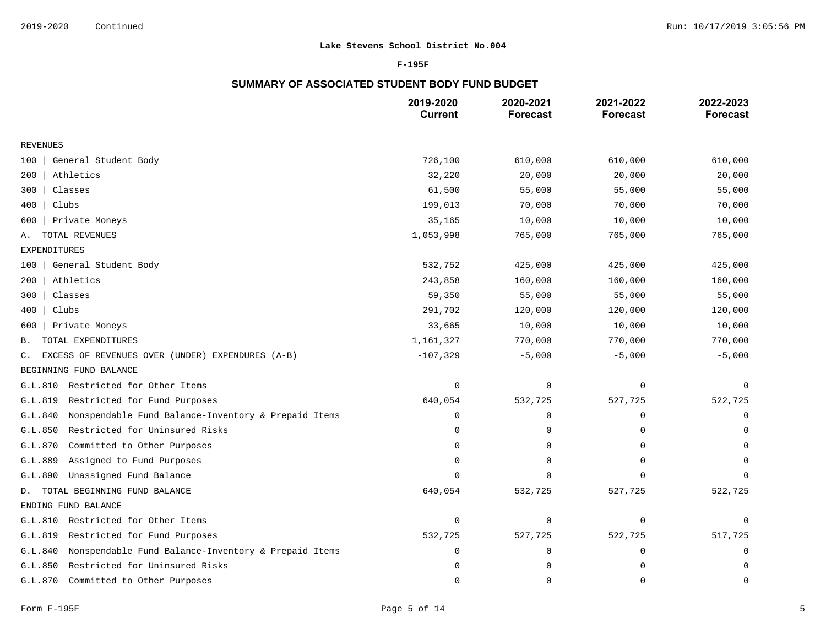### **F-195F**

## **SUMMARY OF ASSOCIATED STUDENT BODY FUND BUDGET**

|                                                                | 2019-2020<br><b>Current</b> | 2020-2021<br><b>Forecast</b> | 2021-2022<br><b>Forecast</b> | 2022-2023<br><b>Forecast</b> |
|----------------------------------------------------------------|-----------------------------|------------------------------|------------------------------|------------------------------|
| <b>REVENUES</b>                                                |                             |                              |                              |                              |
| General Student Body<br>100                                    | 726,100                     | 610,000                      | 610,000                      | 610,000                      |
| Athletics<br>200                                               | 32,220                      | 20,000                       | 20,000                       | 20,000                       |
| Classes<br>300                                                 | 61,500                      | 55,000                       | 55,000                       | 55,000                       |
| 400<br>Clubs                                                   | 199,013                     | 70,000                       | 70,000                       | 70,000                       |
| Private Moneys<br>600                                          | 35,165                      | 10,000                       | 10,000                       | 10,000                       |
| TOTAL REVENUES<br>Α.                                           | 1,053,998                   | 765,000                      | 765,000                      | 765,000                      |
| <b>EXPENDITURES</b>                                            |                             |                              |                              |                              |
| General Student Body<br>100                                    | 532,752                     | 425,000                      | 425,000                      | 425,000                      |
| Athletics<br>200                                               | 243,858                     | 160,000                      | 160,000                      | 160,000                      |
| Classes<br>300                                                 | 59,350                      | 55,000                       | 55,000                       | 55,000                       |
| Clubs<br>400                                                   | 291,702                     | 120,000                      | 120,000                      | 120,000                      |
| Private Moneys<br>600                                          | 33,665                      | 10,000                       | 10,000                       | 10,000                       |
| TOTAL EXPENDITURES<br>В.                                       | 1,161,327                   | 770,000                      | 770,000                      | 770,000                      |
| EXCESS OF REVENUES OVER (UNDER) EXPENDURES (A-B)<br>C.         | $-107,329$                  | $-5,000$                     | $-5,000$                     | $-5,000$                     |
| BEGINNING FUND BALANCE                                         |                             |                              |                              |                              |
| Restricted for Other Items<br>G.L.810                          | $\mathbf 0$                 | $\mathbf 0$                  | $\mathbf 0$                  | $\mathbf 0$                  |
| Restricted for Fund Purposes<br>G.L.819                        | 640,054                     | 532,725                      | 527,725                      | 522,725                      |
| G.L.840<br>Nonspendable Fund Balance-Inventory & Prepaid Items | $\mathbf 0$                 | 0                            | $\mathbf 0$                  | 0                            |
| Restricted for Uninsured Risks<br>G.L.850                      | 0                           | $\Omega$                     | $\Omega$                     | $\Omega$                     |
| Committed to Other Purposes<br>G.L.870                         | $\Omega$                    | $\Omega$                     | $\Omega$                     | $\Omega$                     |
| Assigned to Fund Purposes<br>G.L.889                           | $\mathbf 0$                 | $\Omega$                     | $\Omega$                     | $\Omega$                     |
| Unassigned Fund Balance<br>G.L.890                             | $\Omega$                    | $\Omega$                     | $\Omega$                     | $\Omega$                     |
| TOTAL BEGINNING FUND BALANCE<br>D.                             | 640,054                     | 532,725                      | 527,725                      | 522,725                      |
| ENDING FUND BALANCE                                            |                             |                              |                              |                              |
| Restricted for Other Items<br>G.L.810                          | $\mathbf 0$                 | 0                            | $\mathbf 0$                  | 0                            |
| G.L.819<br>Restricted for Fund Purposes                        | 532,725                     | 527,725                      | 522,725                      | 517,725                      |
| Nonspendable Fund Balance-Inventory & Prepaid Items<br>G.L.840 | $\mathbf 0$                 | $\Omega$                     | 0                            | 0                            |
| G.L.850<br>Restricted for Uninsured Risks                      | $\Omega$                    | $\Omega$                     | 0                            | $\mathbf 0$                  |
| G.L.870<br>Committed to Other Purposes                         | $\mathbf 0$                 | $\Omega$                     | $\mathbf 0$                  | $\mathbf 0$                  |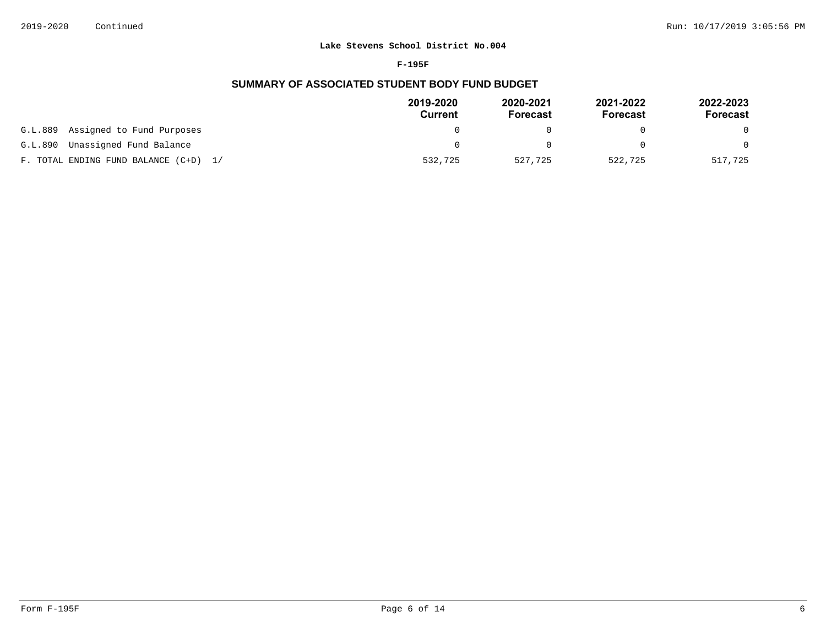#### **F-195F**

## **SUMMARY OF ASSOCIATED STUDENT BODY FUND BUDGET**

|                                       | 2019-2020<br>Current | 2020-2021<br>Forecast | 2021-2022<br>Forecast | 2022-2023<br>Forecast |
|---------------------------------------|----------------------|-----------------------|-----------------------|-----------------------|
| Assigned to Fund Purposes<br>G.L.889  |                      |                       |                       | $\Omega$              |
| Unassigned Fund Balance<br>G.L.890    |                      |                       | 0                     | $\Omega$              |
| F. TOTAL ENDING FUND BALANCE (C+D) 1/ | 532,725              | 527,725               | 522,725               | 517,725               |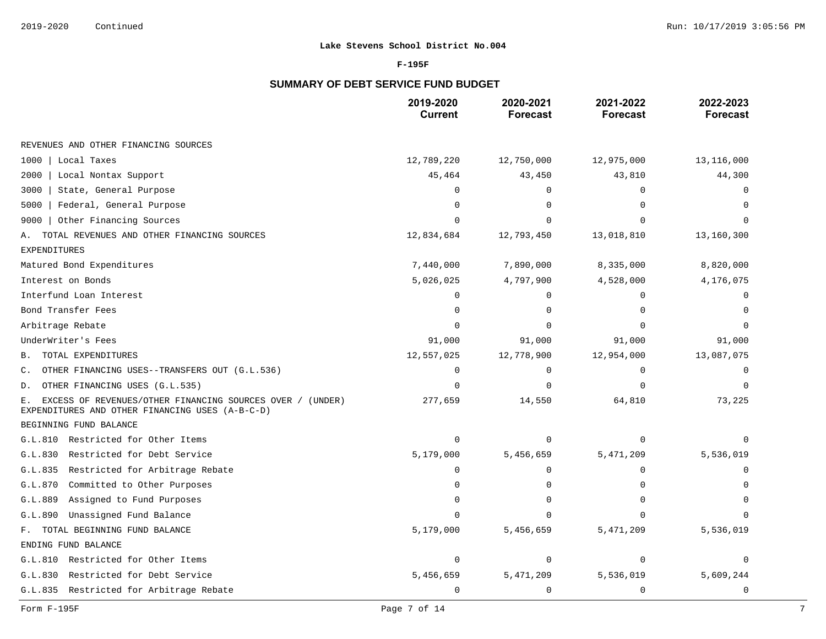### **F-195F**

# **SUMMARY OF DEBT SERVICE FUND BUDGET**

|                                                                                                                    | 2019-2020<br><b>Current</b> | 2020-2021<br><b>Forecast</b> | 2021-2022<br><b>Forecast</b> | 2022-2023<br><b>Forecast</b> |
|--------------------------------------------------------------------------------------------------------------------|-----------------------------|------------------------------|------------------------------|------------------------------|
| REVENUES AND OTHER FINANCING SOURCES                                                                               |                             |                              |                              |                              |
| 1000<br>Local Taxes                                                                                                | 12,789,220                  | 12,750,000                   | 12,975,000                   | 13,116,000                   |
| 2000<br>Local Nontax Support                                                                                       | 45,464                      | 43,450                       | 43,810                       | 44,300                       |
| 3000<br>State, General Purpose                                                                                     | $\Omega$                    | $\mathbf 0$                  | 0                            | 0                            |
| Federal, General Purpose<br>5000                                                                                   | $\Omega$                    | $\Omega$                     | $\Omega$                     | $\Omega$                     |
| Other Financing Sources<br>9000                                                                                    | $\Omega$                    | $\Omega$                     | $\Omega$                     |                              |
| TOTAL REVENUES AND OTHER FINANCING SOURCES<br>Α.                                                                   | 12,834,684                  | 12,793,450                   | 13,018,810                   | 13,160,300                   |
| <b>EXPENDITURES</b>                                                                                                |                             |                              |                              |                              |
| Matured Bond Expenditures                                                                                          | 7,440,000                   | 7,890,000                    | 8,335,000                    | 8,820,000                    |
| Interest on Bonds                                                                                                  | 5,026,025                   | 4,797,900                    | 4,528,000                    | 4,176,075                    |
| Interfund Loan Interest                                                                                            | $\Omega$                    | $\Omega$                     | $\mathbf 0$                  | 0                            |
| Bond Transfer Fees                                                                                                 | $\Omega$                    | $\Omega$                     | $\Omega$                     | $\Omega$                     |
| Arbitrage Rebate                                                                                                   | $\Omega$                    | $\Omega$                     | $\Omega$                     | $\Omega$                     |
| UnderWriter's Fees                                                                                                 | 91,000                      | 91,000                       | 91,000                       | 91,000                       |
| TOTAL EXPENDITURES<br>В.                                                                                           | 12,557,025                  | 12,778,900                   | 12,954,000                   | 13,087,075                   |
| OTHER FINANCING USES--TRANSFERS OUT (G.L.536)<br>С.                                                                | $\Omega$                    | $\mathbf 0$                  | 0                            | 0                            |
| OTHER FINANCING USES (G.L.535)<br>D.                                                                               | $\Omega$                    | $\Omega$                     | $\Omega$                     | $\Omega$                     |
| EXCESS OF REVENUES/OTHER FINANCING SOURCES OVER / (UNDER)<br>Ε.<br>EXPENDITURES AND OTHER FINANCING USES (A-B-C-D) | 277,659                     | 14,550                       | 64,810                       | 73,225                       |
| BEGINNING FUND BALANCE                                                                                             |                             |                              |                              |                              |
| G.L.810 Restricted for Other Items                                                                                 | $\mathbf 0$                 | $\Omega$                     | $\mathbf 0$                  | $\Omega$                     |
| Restricted for Debt Service<br>G.L.830                                                                             | 5,179,000                   | 5,456,659                    | 5,471,209                    | 5,536,019                    |
| Restricted for Arbitrage Rebate<br>G.L.835                                                                         | $\Omega$                    | 0                            | 0                            | 0                            |
| Committed to Other Purposes<br>G.L.870                                                                             | $\Omega$                    | 0                            | $\Omega$                     | $\Omega$                     |
| G.L.889<br>Assigned to Fund Purposes                                                                               | $\Omega$                    | 0                            | 0                            | 0                            |
| G.L.890<br>Unassigned Fund Balance                                                                                 | $\Omega$                    | $\Omega$                     | $\Omega$                     |                              |
| F. TOTAL BEGINNING FUND BALANCE                                                                                    | 5,179,000                   | 5,456,659                    | 5,471,209                    | 5,536,019                    |
| ENDING FUND BALANCE                                                                                                |                             |                              |                              |                              |
| Restricted for Other Items<br>G.L.810                                                                              | $\mathbf 0$                 | 0                            | 0                            | 0                            |
| Restricted for Debt Service<br>G.L.830                                                                             | 5,456,659                   | 5,471,209                    | 5,536,019                    | 5,609,244                    |
| G.L.835 Restricted for Arbitrage Rebate                                                                            | 0                           | 0                            | 0                            | $\mathbf 0$                  |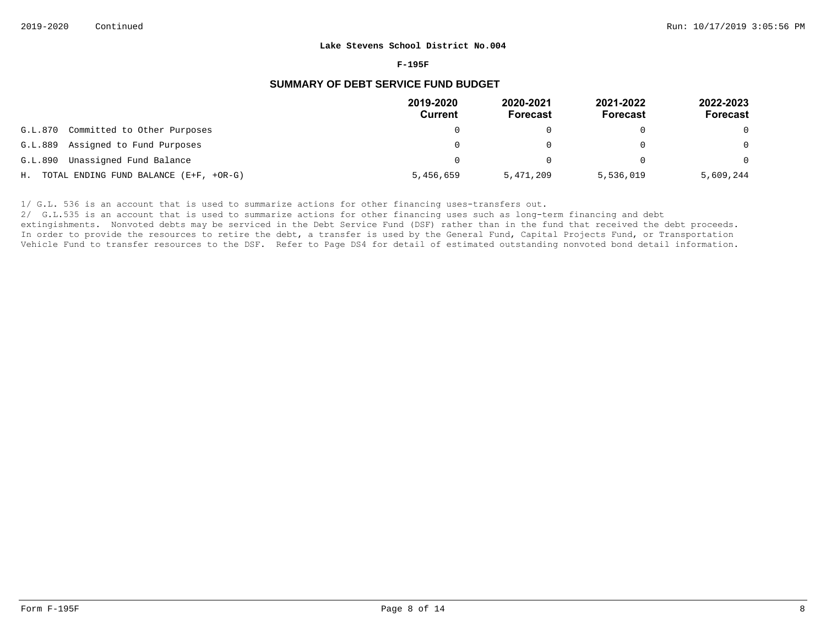#### **F-195F**

### **SUMMARY OF DEBT SERVICE FUND BUDGET**

|                                           | 2019-2020<br>Current | 2020-2021<br><b>Forecast</b> | 2021-2022<br><b>Forecast</b> | 2022-2023<br><b>Forecast</b> |
|-------------------------------------------|----------------------|------------------------------|------------------------------|------------------------------|
| Committed to Other Purposes<br>G.L.870    |                      |                              |                              | $\Omega$                     |
| G.L.889 Assigned to Fund Purposes         |                      |                              |                              | $\Omega$                     |
| Unassigned Fund Balance<br>G.L.890        |                      | ∩                            |                              | $\Omega$                     |
| H. TOTAL ENDING FUND BALANCE (E+F, +OR-G) | 5,456,659            | 5,471,209                    | 5,536,019                    | 5,609,244                    |

1/ G.L. 536 is an account that is used to summarize actions for other financing uses-transfers out.

2/ G.L.535 is an account that is used to summarize actions for other financing uses such as long-term financing and debt

extingishments. Nonvoted debts may be serviced in the Debt Service Fund (DSF) rather than in the fund that received the debt proceeds. In order to provide the resources to retire the debt, a transfer is used by the General Fund, Capital Projects Fund, or Transportation Vehicle Fund to transfer resources to the DSF. Refer to Page DS4 for detail of estimated outstanding nonvoted bond detail information.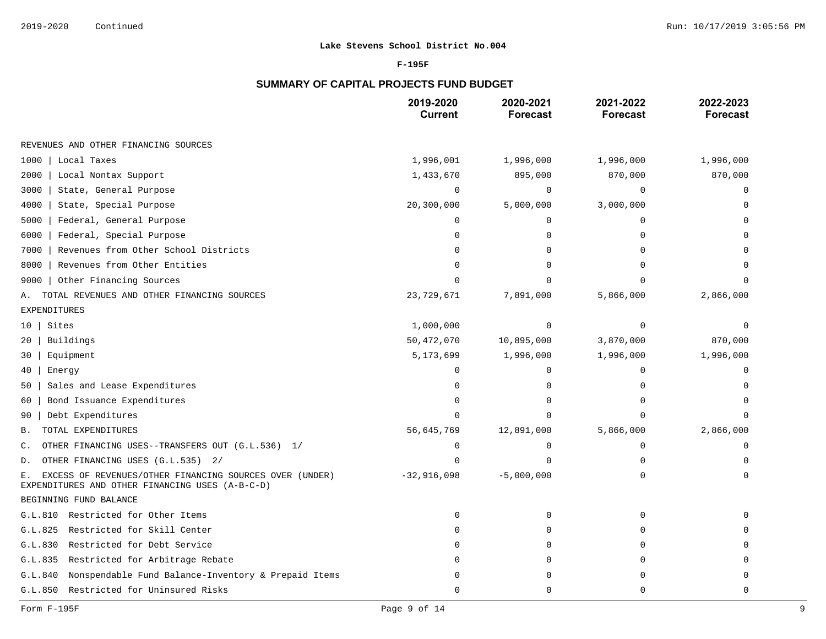### **F-195F**

# **SUMMARY OF CAPITAL PROJECTS FUND BUDGET**

|                                                                                                                  | 2019-2020<br><b>Current</b> | 2020-2021<br><b>Forecast</b> | 2021-2022<br><b>Forecast</b> | 2022-2023<br><b>Forecast</b> |
|------------------------------------------------------------------------------------------------------------------|-----------------------------|------------------------------|------------------------------|------------------------------|
| REVENUES AND OTHER FINANCING SOURCES                                                                             |                             |                              |                              |                              |
| 1000<br>Local Taxes                                                                                              | 1,996,001                   | 1,996,000                    | 1,996,000                    | 1,996,000                    |
| 2000<br>Local Nontax Support                                                                                     | 1,433,670                   | 895,000                      | 870,000                      | 870,000                      |
| State, General Purpose<br>3000                                                                                   | $\mathbf 0$                 | 0                            | 0                            | 0                            |
| 4000<br>State, Special Purpose                                                                                   | 20,300,000                  | 5,000,000                    | 3,000,000                    | $\Omega$                     |
| 5000<br>Federal, General Purpose                                                                                 | $\mathbf 0$                 | 0                            | 0                            | U                            |
| 6000<br>Federal, Special Purpose                                                                                 | $\Omega$                    | $\Omega$                     | $\Omega$                     |                              |
| 7000<br>Revenues from Other School Districts                                                                     | $\Omega$                    | 0                            | 0                            | U                            |
| Revenues from Other Entities<br>8000                                                                             | $\Omega$                    | $\Omega$                     | U                            | $\Omega$                     |
| Other Financing Sources<br>9000                                                                                  | $\Omega$                    | U                            |                              |                              |
| TOTAL REVENUES AND OTHER FINANCING SOURCES<br>Α.                                                                 | 23,729,671                  | 7,891,000                    | 5,866,000                    | 2,866,000                    |
| <b>EXPENDITURES</b>                                                                                              |                             |                              |                              |                              |
| Sites<br>10                                                                                                      | 1,000,000                   | 0                            | $\mathbf 0$                  | ∩                            |
| Buildings<br>20                                                                                                  | 50,472,070                  | 10,895,000                   | 3,870,000                    | 870,000                      |
| Equipment<br>30                                                                                                  | 5,173,699                   | 1,996,000                    | 1,996,000                    | 1,996,000                    |
| 40<br>Energy                                                                                                     | $\Omega$                    | 0                            | $\Omega$                     | $\Omega$                     |
| Sales and Lease Expenditures<br>50                                                                               | $\Omega$                    | 0                            | $\Omega$                     | $\Omega$                     |
| Bond Issuance Expenditures<br>60                                                                                 | $\Omega$                    | $\Omega$                     | $\Omega$                     | $\Omega$                     |
| Debt Expenditures<br>90                                                                                          | $\Omega$                    | 0                            | $\Omega$                     | $\Omega$                     |
| TOTAL EXPENDITURES<br>Β.                                                                                         | 56,645,769                  | 12,891,000                   | 5,866,000                    | 2,866,000                    |
| OTHER FINANCING USES--TRANSFERS OUT (G.L.536) 1/<br>С.                                                           | 0                           | 0                            | 0                            | $\mathbf 0$                  |
| OTHER FINANCING USES (G.L.535) 2/<br>D.                                                                          | $\Omega$                    | $\Omega$                     | $\Omega$                     | $\Omega$                     |
| EXCESS OF REVENUES/OTHER FINANCING SOURCES OVER (UNDER)<br>Е.<br>EXPENDITURES AND OTHER FINANCING USES (A-B-C-D) | $-32,916,098$               | $-5,000,000$                 | $\Omega$                     | $\Omega$                     |
| BEGINNING FUND BALANCE                                                                                           |                             |                              |                              |                              |
| G.L.810 Restricted for Other Items                                                                               | $\mathbf 0$                 | 0                            | $\Omega$                     | $\cap$                       |
| Restricted for Skill Center<br>G.L.825                                                                           | $\Omega$                    | 0                            | $\Omega$                     |                              |
| G.L.830<br>Restricted for Debt Service                                                                           | $\Omega$                    | $\Omega$                     | $\Omega$                     | $\Omega$                     |
| Restricted for Arbitrage Rebate<br>G.L.835                                                                       | $\Omega$                    | 0                            | $\Omega$                     | $\Omega$                     |
| Nonspendable Fund Balance-Inventory & Prepaid Items<br>G.L.840                                                   | $\cap$                      | 0                            | $\Omega$                     | $\Omega$                     |
| Restricted for Uninsured Risks<br>G.L.850                                                                        | $\Omega$                    | 0                            | 0                            | 0                            |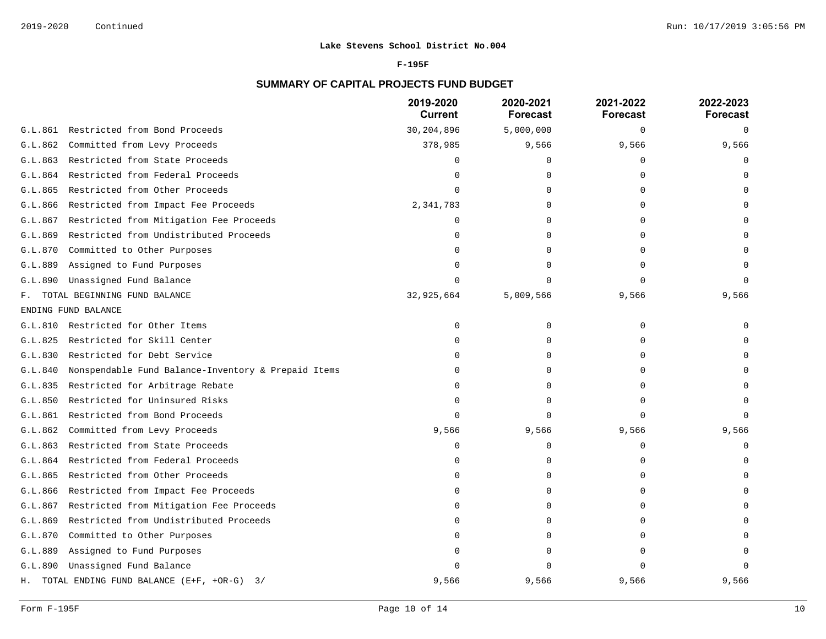#### **F-195F**

# **SUMMARY OF CAPITAL PROJECTS FUND BUDGET**

|         |                                                     | 2019-2020<br><b>Current</b> | 2020-2021<br><b>Forecast</b> | 2021-2022<br><b>Forecast</b> | 2022-2023<br><b>Forecast</b> |
|---------|-----------------------------------------------------|-----------------------------|------------------------------|------------------------------|------------------------------|
| G.L.861 | Restricted from Bond Proceeds                       | 30,204,896                  | 5,000,000                    | 0                            | $\Omega$                     |
| G.L.862 | Committed from Levy Proceeds                        | 378,985                     | 9,566                        | 9,566                        | 9,566                        |
| G.L.863 | Restricted from State Proceeds                      |                             | O                            | 0                            |                              |
| G.L.864 | Restricted from Federal Proceeds                    |                             | U                            | ∩                            |                              |
| G.L.865 | Restricted from Other Proceeds                      |                             | U                            |                              |                              |
| G.L.866 | Restricted from Impact Fee Proceeds                 | 2,341,783                   | O                            |                              |                              |
| G.L.867 | Restricted from Mitigation Fee Proceeds             |                             | U                            |                              |                              |
| G.L.869 | Restricted from Undistributed Proceeds              |                             | U                            |                              |                              |
| G.L.870 | Committed to Other Purposes                         |                             | $\Omega$                     |                              |                              |
| G.L.889 | Assigned to Fund Purposes                           |                             | U                            |                              |                              |
| G.L.890 | Unassigned Fund Balance                             |                             | U                            | U                            |                              |
| F.      | TOTAL BEGINNING FUND BALANCE                        | 32,925,664                  | 5,009,566                    | 9,566                        | 9,566                        |
|         | ENDING FUND BALANCE                                 |                             |                              |                              |                              |
| G.L.810 | Restricted for Other Items                          | ∩                           | 0                            | $\Omega$                     |                              |
| G.L.825 | Restricted for Skill Center                         |                             | O                            | U                            |                              |
| G.L.830 | Restricted for Debt Service                         |                             | U                            | U                            |                              |
| G.L.840 | Nonspendable Fund Balance-Inventory & Prepaid Items |                             | U                            |                              |                              |
| G.L.835 | Restricted for Arbitrage Rebate                     |                             | O                            |                              |                              |
| G.L.850 | Restricted for Uninsured Risks                      |                             | 0                            | ∩                            |                              |
| G.L.861 | Restricted from Bond Proceeds                       |                             | $\Omega$                     | $\Omega$                     |                              |
| G.L.862 | Committed from Levy Proceeds                        | 9,566                       | 9,566                        | 9,566                        | 9,566                        |
| G.L.863 | Restricted from State Proceeds                      | $\cap$                      | U                            | U                            |                              |
| G.L.864 | Restricted from Federal Proceeds                    |                             | $\Omega$                     | U                            |                              |
| G.L.865 | Restricted from Other Proceeds                      |                             | 0                            |                              |                              |
| G.L.866 | Restricted from Impact Fee Proceeds                 |                             | O                            |                              |                              |
| G.L.867 | Restricted from Mitigation Fee Proceeds             |                             | $\Omega$                     |                              |                              |
| G.L.869 | Restricted from Undistributed Proceeds              |                             | O                            |                              |                              |
| G.L.870 | Committed to Other Purposes                         |                             | U                            |                              |                              |
| G.L.889 | Assigned to Fund Purposes                           |                             |                              |                              |                              |
| G.L.890 | Unassigned Fund Balance                             |                             |                              |                              |                              |
| Н.      | TOTAL ENDING FUND BALANCE (E+F, +OR-G) 3/           | 9,566                       | 9,566                        | 9,566                        | 9,566                        |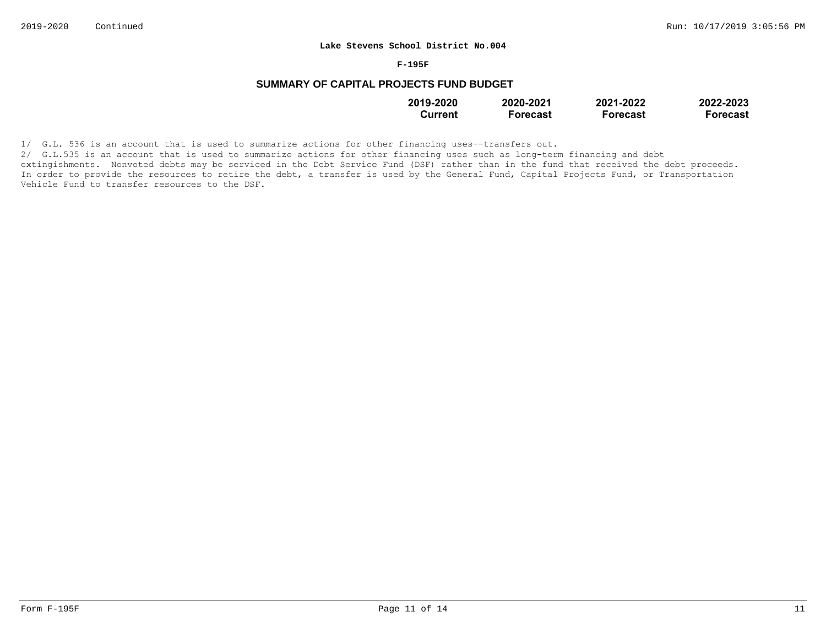#### **F-195F**

## **SUMMARY OF CAPITAL PROJECTS FUND BUDGET**

| 2019-2020 | 2020-2021       | 2021-2022       | 2022-2023 |
|-----------|-----------------|-----------------|-----------|
| Current   | <b>Forecast</b> | <b>Forecast</b> | Forecast  |

1/ G.L. 536 is an account that is used to summarize actions for other financing uses--transfers out.

2/ G.L.535 is an account that is used to summarize actions for other financing uses such as long-term financing and debt extingishments. Nonvoted debts may be serviced in the Debt Service Fund (DSF) rather than in the fund that received the debt proceeds. In order to provide the resources to retire the debt, a transfer is used by the General Fund, Capital Projects Fund, or Transportation Vehicle Fund to transfer resources to the DSF.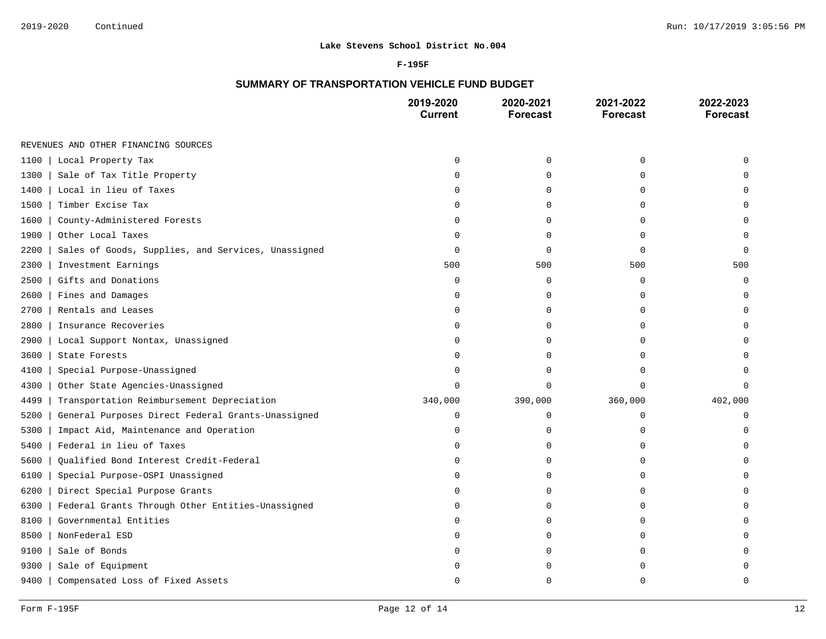#### **F-195F**

## **SUMMARY OF TRANSPORTATION VEHICLE FUND BUDGET**

|                                                            | 2019-2020<br><b>Current</b> | 2020-2021<br><b>Forecast</b> | 2021-2022<br><b>Forecast</b> | 2022-2023<br><b>Forecast</b> |
|------------------------------------------------------------|-----------------------------|------------------------------|------------------------------|------------------------------|
| REVENUES AND OTHER FINANCING SOURCES                       |                             |                              |                              |                              |
| 1100<br>Local Property Tax                                 | $\Omega$                    | 0                            | $\mathbf 0$                  |                              |
| 1300<br>Sale of Tax Title Property                         | 0                           | $\mathbf 0$                  | 0                            |                              |
| Local in lieu of Taxes<br>1400                             | O                           | $\Omega$                     | $\Omega$                     |                              |
| 1500<br>Timber Excise Tax                                  | O                           | 0                            | $\Omega$                     |                              |
| County-Administered Forests<br>1600                        | O                           | $\mathbf 0$                  | $\Omega$                     |                              |
| 1900<br>Other Local Taxes                                  | $\Omega$                    | $\mathbf 0$                  | O                            | U                            |
| 2200<br>Sales of Goods, Supplies, and Services, Unassigned | 0                           | $\mathbf 0$                  | $\Omega$                     | $\Omega$                     |
| 2300<br>Investment Earnings                                | 500                         | 500                          | 500                          | 500                          |
| Gifts and Donations<br>2500                                | 0                           | $\mathbf 0$                  | $\mathbf 0$                  | $\Omega$                     |
| 2600<br>Fines and Damages                                  | $\Omega$                    | $\mathbf 0$                  | $\Omega$                     | U                            |
| Rentals and Leases<br>2700                                 | $\Omega$                    | 0                            | $\Omega$                     | U                            |
| Insurance Recoveries<br>2800                               | 0                           | 0                            | $\Omega$                     |                              |
| 2900<br>Local Support Nontax, Unassigned                   | $\Omega$                    | 0                            | $\Omega$                     |                              |
| 3600<br>State Forests                                      | $\Omega$                    | 0                            | $\Omega$                     |                              |
| 4100<br>Special Purpose-Unassigned                         | $\Omega$                    | $\mathbf 0$                  | $\cap$                       |                              |
| 4300<br>Other State Agencies-Unassigned                    | $\Omega$                    | $\Omega$                     | $\Omega$                     | $\Omega$                     |
| Transportation Reimbursement Depreciation<br>4499          | 340,000                     | 390,000                      | 360,000                      | 402,000                      |
| General Purposes Direct Federal Grants-Unassigned<br>5200  | $\mathbf 0$                 | 0                            | 0                            | 0                            |
| 5300<br>Impact Aid, Maintenance and Operation              | O                           | 0                            | O                            |                              |
| Federal in lieu of Taxes<br>5400                           | O                           | $\mathbf 0$                  | $\Omega$                     |                              |
| 5600<br>Qualified Bond Interest Credit-Federal             | O                           | $\mathbf 0$                  | $\Omega$                     |                              |
| 6100<br>Special Purpose-OSPI Unassigned                    | O                           | $\Omega$                     | $\cap$                       |                              |
| 6200<br>Direct Special Purpose Grants                      | $\Omega$                    | $\mathbf 0$                  | $\Omega$                     |                              |
| Federal Grants Through Other Entities-Unassigned<br>6300   | O                           | 0                            | $\Omega$                     |                              |
| Governmental Entities<br>8100                              | U                           | $\mathbf 0$                  | $\Omega$                     |                              |
| NonFederal ESD<br>8500                                     | O                           | $\mathbf 0$                  | $\Omega$                     |                              |
| 9100<br>Sale of Bonds                                      | O                           | 0                            | $\Omega$                     |                              |
| 9300<br>Sale of Equipment                                  |                             | $\Omega$                     | U                            |                              |
| 9400<br>Compensated Loss of Fixed Assets                   | U                           | $\cap$                       | U                            | U                            |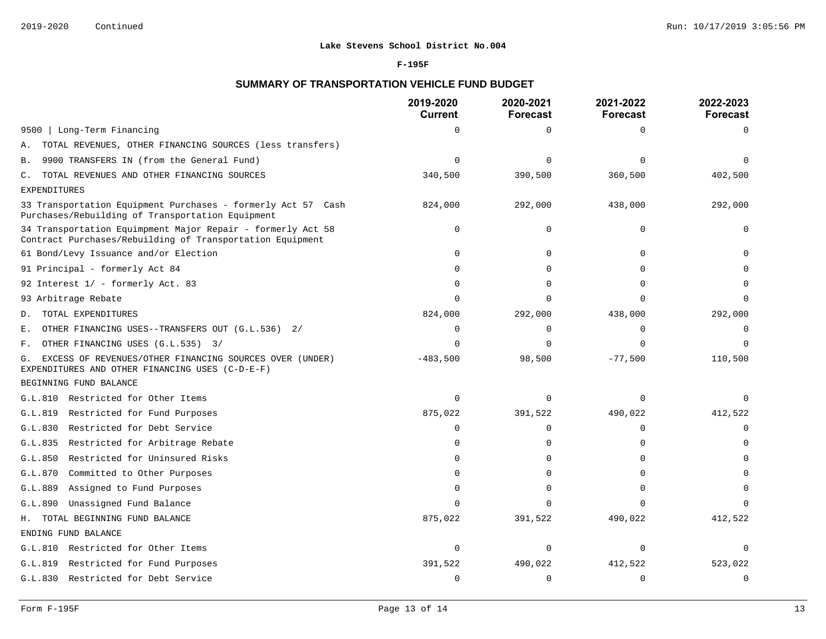#### **F-195F**

## **SUMMARY OF TRANSPORTATION VEHICLE FUND BUDGET**

|                                                                                                                          | 2019-2020<br><b>Current</b> | 2020-2021<br><b>Forecast</b> | 2021-2022<br><b>Forecast</b> | 2022-2023<br><b>Forecast</b> |
|--------------------------------------------------------------------------------------------------------------------------|-----------------------------|------------------------------|------------------------------|------------------------------|
| Long-Term Financing<br>9500                                                                                              | $\Omega$                    | $\mathbf 0$                  | $\Omega$                     | $\Omega$                     |
| TOTAL REVENUES, OTHER FINANCING SOURCES (less transfers)<br>Α.                                                           |                             |                              |                              |                              |
| 9900 TRANSFERS IN (from the General Fund)<br>Β.                                                                          | $\Omega$                    | $\Omega$                     | $\Omega$                     | $\Omega$                     |
| TOTAL REVENUES AND OTHER FINANCING SOURCES<br>$\mathbb{C}$ .                                                             | 340,500                     | 390,500                      | 360,500                      | 402,500                      |
| <b>EXPENDITURES</b>                                                                                                      |                             |                              |                              |                              |
| 33 Transportation Equipment Purchases - formerly Act 57 Cash<br>Purchases/Rebuilding of Transportation Equipment         | 824,000                     | 292,000                      | 438,000                      | 292,000                      |
| 34 Transportation Equimpment Major Repair - formerly Act 58<br>Contract Purchases/Rebuilding of Transportation Equipment | $\Omega$                    | $\mathbf 0$                  | $\Omega$                     | O                            |
| 61 Bond/Levy Issuance and/or Election                                                                                    | 0                           | $\mathbf 0$                  | $\Omega$                     |                              |
| 91 Principal - formerly Act 84                                                                                           | ∩                           | $\Omega$                     | $\Omega$                     |                              |
| 92 Interest 1/ - formerly Act. 83                                                                                        | $\Omega$                    | $\mathbf 0$                  | $\Omega$                     |                              |
| 93 Arbitrage Rebate                                                                                                      | $\Omega$                    | $\Omega$                     | $\Omega$                     | $\Omega$                     |
| TOTAL EXPENDITURES<br>D.                                                                                                 | 824,000                     | 292,000                      | 438,000                      | 292,000                      |
| OTHER FINANCING USES--TRANSFERS OUT (G.L.536) 2/<br>Ε.                                                                   | $\Omega$                    | $\Omega$                     | $\Omega$                     | 0                            |
| OTHER FINANCING USES (G.L.535) 3/<br>F.                                                                                  | $\Omega$                    | $\mathbf 0$                  | $\Omega$                     | $\Omega$                     |
| EXCESS OF REVENUES/OTHER FINANCING SOURCES OVER (UNDER)<br>G.<br>EXPENDITURES AND OTHER FINANCING USES (C-D-E-F)         | $-483,500$                  | 98,500                       | $-77,500$                    | 110,500                      |
| BEGINNING FUND BALANCE                                                                                                   |                             |                              |                              |                              |
| G.L.810 Restricted for Other Items                                                                                       | $\Omega$                    | $\Omega$                     | $\Omega$                     |                              |
| G.L.819 Restricted for Fund Purposes                                                                                     | 875,022                     | 391,522                      | 490,022                      | 412,522                      |
| Restricted for Debt Service<br>G.L.830                                                                                   | $\Omega$                    | $\mathbf 0$                  | $\Omega$                     | $\mathbf 0$                  |
| G.L.835 Restricted for Arbitrage Rebate                                                                                  | $\Omega$                    | $\mathbf 0$                  | $\Omega$                     | $\Omega$                     |
| Restricted for Uninsured Risks<br>G.L.850                                                                                | $\Omega$                    | $\Omega$                     | $\Omega$                     |                              |
| G.L.870 Committed to Other Purposes                                                                                      | $\Omega$                    | $\Omega$                     | $\Omega$                     |                              |
| G.L.889 Assigned to Fund Purposes                                                                                        | $\Omega$                    | $\Omega$                     | $\Omega$                     | $\Omega$                     |
| G.L.890<br>Unassigned Fund Balance                                                                                       | $\Omega$                    | $\Omega$                     | $\cap$                       | $\Omega$                     |
| H. TOTAL BEGINNING FUND BALANCE                                                                                          | 875,022                     | 391,522                      | 490,022                      | 412,522                      |
| ENDING FUND BALANCE                                                                                                      |                             |                              |                              |                              |
| G.L.810 Restricted for Other Items                                                                                       | $\mathbf 0$                 | $\mathbf 0$                  | $\Omega$                     | $\Omega$                     |
| G.L.819 Restricted for Fund Purposes                                                                                     | 391,522                     | 490,022                      | 412,522                      | 523,022                      |
| G.L.830 Restricted for Debt Service                                                                                      | $\Omega$                    | $\mathbf 0$                  | $\Omega$                     | $\mathbf 0$                  |